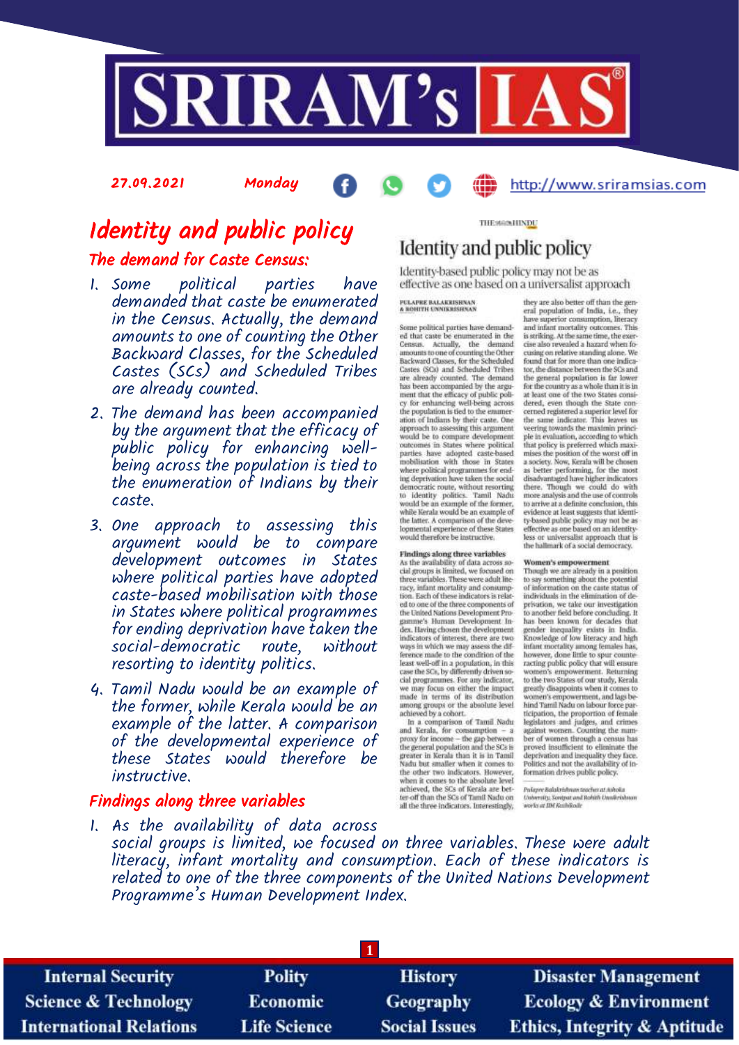

27.09.2021 Monday

## http://www.sriramsias.com

# Identity and public policy The demand for Caste Census:

- 1. Some political parties have demanded that caste be enumerated in the Census. Actually, the demand amounts to one of counting the Other Backward Classes, for the Scheduled Castes (SCs) and Scheduled Tribes are already counted.
- 2. The demand has been accompanied by the argument that the efficacy of public policy for enhancing wellbeing across the population is tied to the enumeration of Indians by their caste.
- 3. One approach to assessing this argument would be to compare development outcomes in States where political parties have adopted caste-based mobilisation with those in States where political programmes for ending deprivation have taken the<br>social-democratic route. without social-democratic resorting to identity politics.
- 4. Tamil Nadu would be an example of the former, while Kerala would be an example of the latter. A comparison of the developmental experience of these States would therefore be instructive.

### Findings along three variables

THE MONITIVIDU

# Identity and public policy

Identity-based public policy may not be as effective as one based on a universalist approach

### PULAPRE BALAKRISHNAN<br>A BOHITH UNNIKRISHNAP

Some political parties have demanded that caste be enumerated in the Census. Actually, the demand<br>amounts to one of counting the Other suckward Classes, for the Scheduled<br>Castes (SCs) and Scheduled Tribes<br>are already counted. The demand are areasy companied by the argument<br>that the efficacy of public policy for enhancing well-being across<br>the population is tied to the enameration of Indians by their caste. One<br>approach to assessing this argument<br>would be to compare development outcomes in States where political<br>parties have adopted caste-based mobilisation with those in States<br>where political programmes for ending<br>deprivation have taken the social democratic route, without resorting<br>to identity politics. Tamil Nadu<br>would be an example of the former, while Kerala would be an example of the latter. A comparison of the developmental experience of these States<br>would therefore be instructive.

### Findings along three variables

As the availability of data across so-<br>cial groups is limited, we focused on<br>three variables. These were adult literacy, infant mortality and consump-<br>tion. Each of these indicators is related to one of the three components of<br>the United Nations Development Pro-<br>gamme's Human Development Index. Having chosen the development<br>indicators of interest, there are two museuros or muerest, tarete are two<br>ways in which we may assess the difference made to the condition of the<br>least well-off in a population, in this<br>case the SCs, by differently driven so-<br>cial programmes. For any indicator we may focus on either the impact<br>made in terms of its distribution among groups or the absolute level<br>achieved by a cohort.

actueved by a cobort.<br>In a comparison of Tamil Nadu<br>and Kerala, for consumption - a<br>proxy for tncome - the gap between<br>the general population and the SCs is<br>greater in Kerala than it is in Tamil<br>Nadu but smaller when it co the other two indicators. However,<br>when it comes to the absolute level achieved, the SCs of Kerala are better-off than the SCs of Tamil Nadu on<br>all the three indicators, Interestingly,

they are also better off than the gen-<br>eral population of India, i.e., they have superior consumption, literacy<br>and infant mortality outcomes. This<br>is striking. At the same time, the exercise also revealed a hazard when fo-<br>cusing on relative standing alone. We found that for more than one indica-<br>tor, the distance between the SCs and the general population is far lower<br>for the country as a whole than it is in<br>at least one of the two States considered, even though the State con-<br>cerned registered a superior level for the same indicator. This leaves us<br>veering towards the maximin principle in evaluation, according to which pie in evaluation, according to which maximises the position of the worst off in<br>mises the position of the worst off in<br>a society. Now, Kerala will be chosen<br>as better performing, for the most disadvantaged have higher indicators<br>there. Though we could do with<br>more analysis and the use of controls to arrive at a definite conclusion, this evidence at least suggests that identity-based public policy may not be as effective as one based on an identity-<br>less or universalist approach that is the hallmark of a social democracy.

#### Women's empowerment

Though we are already in a position<br>to say something about the potential of information on the caste status of<br>individuals in the elimination of deprivation, we take our investigation to another field before concluding. It<br>has been known for decades that gender inequality exists in India.<br>Knowledge of low literacy and high infant mortality among females has,<br>however, done little to spur counter racting public policy that will ensure women's empowerment. Returning<br>to the two States of our study, Kerala greatly disappoints when it comes to<br>women's empowerment, and lags be-<br>hind Tamil Nadu on labour force parhind Tamii Nadu on labour force par-<br>ticipation, the proportion of femile<br>legislators and pulges, and crimes<br>against women. Counting the num-<br>ber of women through a census has proved insufficient to eliminate the deprivation and inequality they face.<br>Politics and not the availability of information drives public policy

Policyre Balakrishnun teacher at Ashoka University, Soutput and Rahith Unstitutions<br>works at IDI Rashkode

1. As the availability of data across social groups is limited, we focused on three variables. These were adult literacy, infant mortality and consumption. Each of these indicators is related to one of the three components of the United Nations Development Programme's Human Development Index.

| <b>Internal Security</b>        | <b>Polity</b>       | <b>History</b>       | <b>Disaster Management</b>              |
|---------------------------------|---------------------|----------------------|-----------------------------------------|
| <b>Science &amp; Technology</b> | <b>Economic</b>     | Geography            | <b>Ecology &amp; Environment</b>        |
| <b>International Relations</b>  | <b>Life Science</b> | <b>Social Issues</b> | <b>Ethics, Integrity &amp; Aptitude</b> |
|                                 |                     |                      |                                         |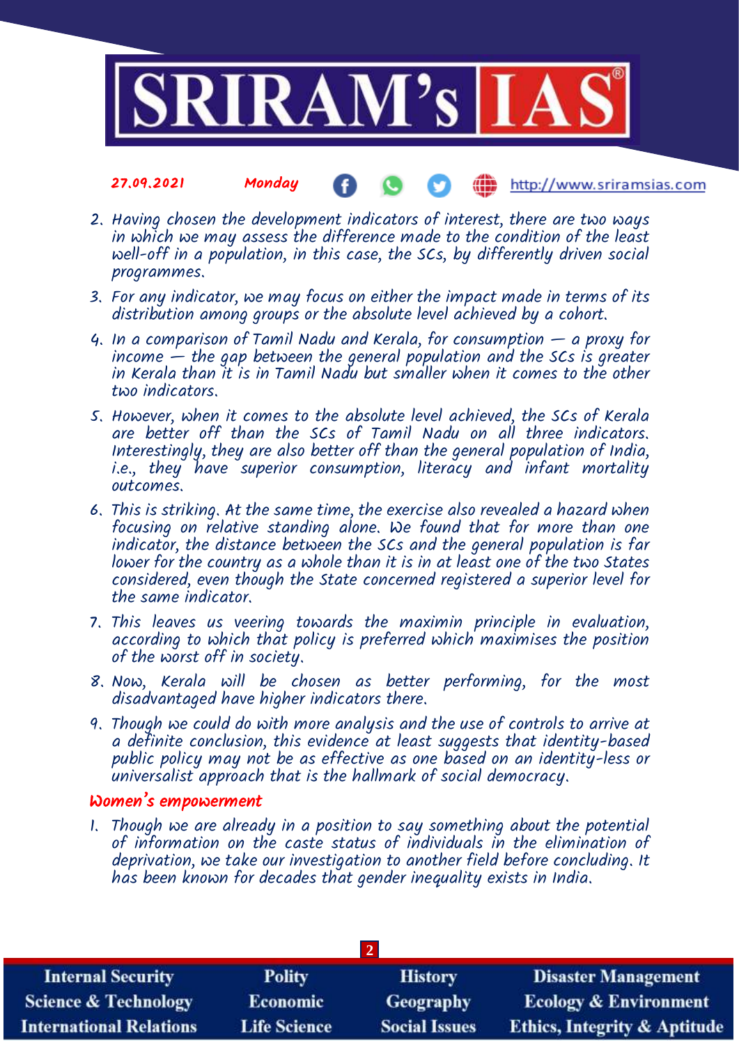

#### http://www.sriramsias.com 27.09.2021 Monday

- 2. Having chosen the development indicators of interest, there are two ways in which we may assess the difference made to the condition of the least well-off in a population, in this case, the SCs, by differently driven social programmes.
- 3. For any indicator, we may focus on either the impact made in terms of its distribution among groups or the absolute level achieved by a cohort.
- 4. In a comparison of Tamil Nadu and Kerala, for consumption a proxy for income — the gap between the general population and the SCs is greater in Kerala than it is in Tamil Nadu but smaller when it comes to the other two indicators.
- 5. However, when it comes to the absolute level achieved, the SCs of Kerala are better off than the SCs of Tamil Nadu on all three indicators. Interestingly, they are also better off than the general population of India, i.e., they have superior consumption, literacy and infant mortality outcomes.
- 6. This is striking. At the same time, the exercise also revealed a hazard when focusing on relative standing alone. We found that for more than one indicator, the distance between the SCs and the general population is far lower for the country as a whole than it is in at least one of the two States considered, even though the State concerned registered a superior level for the same indicator.
- 7. This leaves us veering towards the maximin principle in evaluation, according to which that policy is preferred which maximises the position of the worst off in society.
- 8. Now, Kerala will be chosen as better performing, for the most disadvantaged have higher indicators there.
- 9. Though we could do with more analysis and the use of controls to arrive at a definite conclusion, this evidence at least suggests that identity-based public policy may not be as effective as one based on an identity-less or universalist approach that is the hallmark of social democracy.

### Women's empowerment

1. Though we are already in a position to say something about the potential of information on the caste status of individuals in the elimination of deprivation, we take our investigation to another field before concluding. It has been known for decades that gender inequality exists in India.

| <b>Internal Security</b>        | <b>Polity</b>       | <b>History</b>       | <b>Disaster Management</b>              |
|---------------------------------|---------------------|----------------------|-----------------------------------------|
| <b>Science &amp; Technology</b> | <b>Economic</b>     | <b>Geography</b>     | <b>Ecology &amp; Environment</b>        |
| <b>International Relations</b>  | <b>Life Science</b> | <b>Social Issues</b> | <b>Ethics, Integrity &amp; Aptitude</b> |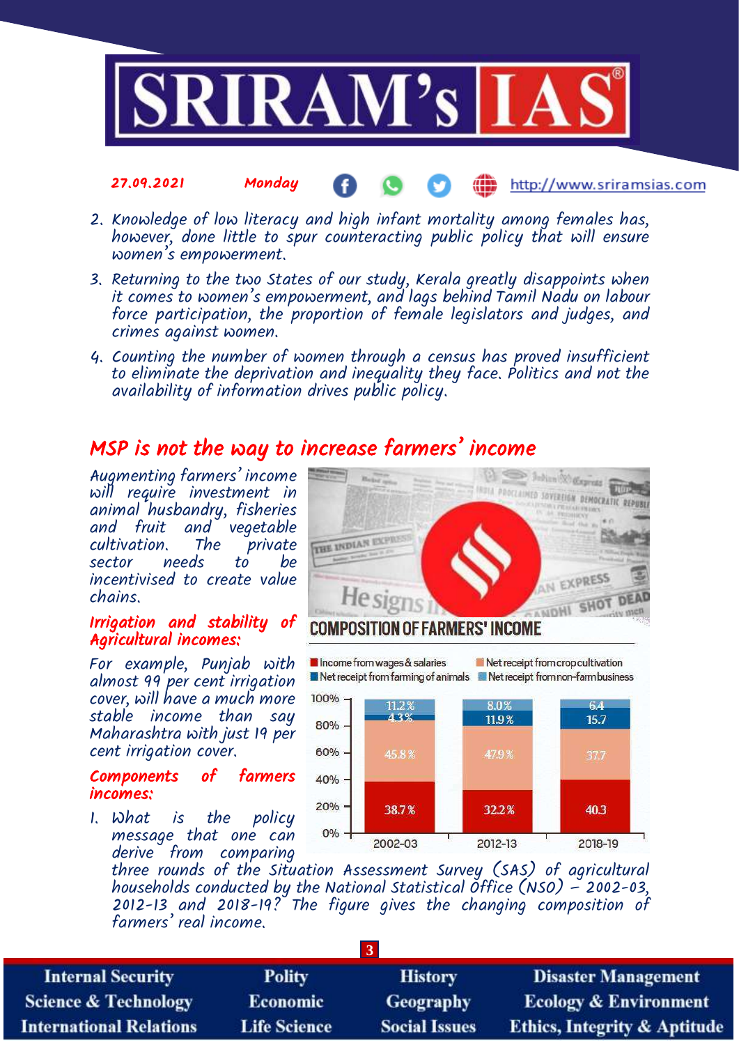

#### 27.09.2021 Monday http://www.sriramsias.com

- 2. Knowledge of low literacy and high infant mortality among females has, however, done little to spur counteracting public policy that will ensure women's empowerment.
- 3. Returning to the two States of our study, Kerala greatly disappoints when it comes to women's empowerment, and lags behind Tamil Nadu on labour force participation, the proportion of female legislators and judges, and crimes against women.
- 4. Counting the number of women through a census has proved insufficient to eliminate the deprivation and inequality they face. Politics and not the availability of information drives public policy.

## MSP is not the way to increase farmers' income

Augmenting farmers' income will require investment in animal husbandry, fisheries and fruit and vegetable<br>cultivation. The private cultivation. The private sector needs to incentivised to create value chains.

### Irrigation and stability of Agricultural incomes:

For example, Punjab with almost 99 per cent irrigation cover, will have a much more stable income than say Maharashtra with just 19 per cent irrigation cover.

### Components of farmers incomes:

1. What is the policy message that one can derive from comparing





three rounds of the Situation Assessment Survey (SAS) of agricultural households conducted by the National Statistical Office (NSO)  $-$  2002-03, 2012-13 and 2018-19? The figure gives the changing composition of farmers' real income.

| <b>Internal Security</b>        | <b>Polity</b>       | <b>History</b>       | <b>Disaster Management</b>              |  |
|---------------------------------|---------------------|----------------------|-----------------------------------------|--|
| <b>Science &amp; Technology</b> | <b>Economic</b>     | <b>Geography</b>     | <b>Ecology &amp; Environment</b>        |  |
| <b>International Relations</b>  | <b>Life Science</b> | <b>Social Issues</b> | <b>Ethics, Integrity &amp; Aptitude</b> |  |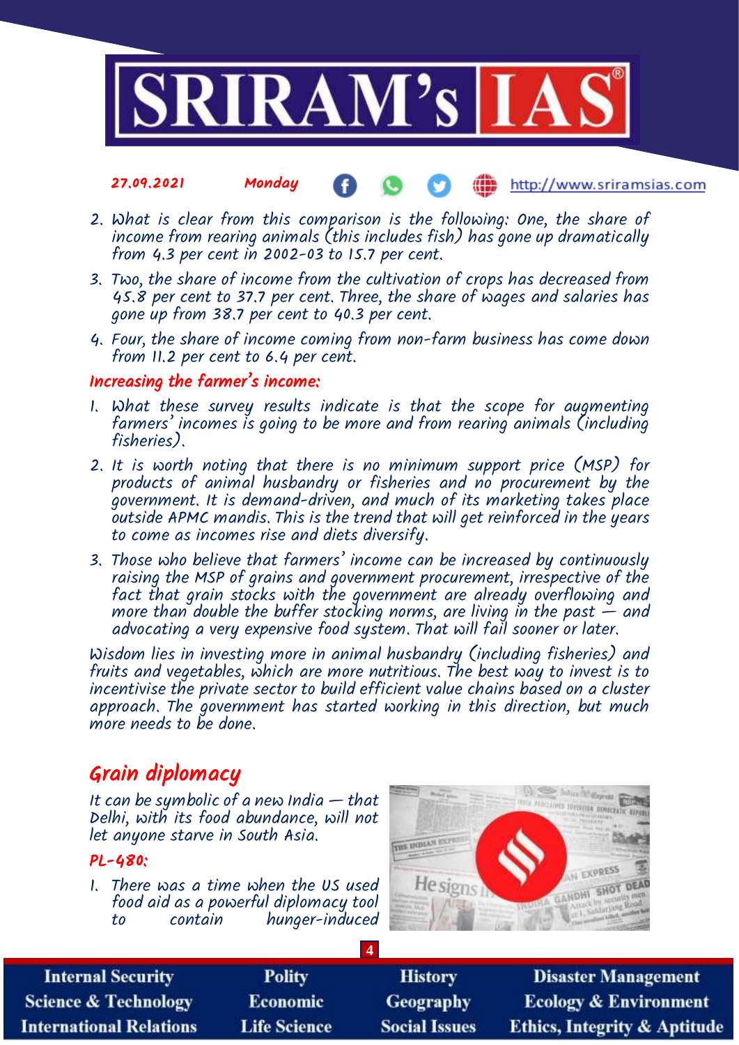

#### 27.09.2021 Monday http://www.sriramsias.com

- 2. What is clear from this comparison is the following: One, the share of income from rearing animals (this includes fish) has gone up dramatically from 4.3 per cent in 2002-03 to 15.7 per cent.
- 3. Two, the share of income from the cultivation of crops has decreased from 45.8 per cent to 37.7 per cent. Three, the share of wages and salaries has gone up from 38.7 per cent to 40.3 per cent.
- 4. Four, the share of income coming from non-farm business has come down from 11.2 per cent to 6.4 per cent.

### Increasing the farmer's income:

- 1. What these survey results indicate is that the scope for augmenting farmers' incomes is going to be more and from rearing animals (including fisheries).
- 2. It is worth noting that there is no minimum support price (MSP) for products of animal husbandry or fisheries and no procurement by the government. It is demand-driven, and much of its marketing takes place outside APMC mandis. This is the trend that will get reinforced in the years to come as incomes rise and diets diversify.
- 3. Those who believe that farmers' income can be increased by continuously raising the MSP of grains and government procurement, irrespective of the fact that grain stocks with the government are already overflowing and more than double the buffer stocking norms, are living in the past  $-$  and advocating a very expensive food system. That will fail sooner or later.

Wisdom lies in investing more in animal husbandry (including fisheries) and fruits and vegetables, which are more nutritious. The best way to invest is to incentivise the private sector to build efficient value chains based on a cluster approach. The government has started working in this direction, but much more needs to be done.

## Grain diplomacy

It can be symbolic of a new India  $-$  that Delhi, with its food abundance, will not let anyone starve in South Asia.

### PL-480:

1. There was a time when the US used food aid as a powerful diplomacy tool to contain hunger-induced



| <b>Internal Security</b>        | <b>Polity</b>       | <b>History</b>       | <b>Disaster Management</b>              |
|---------------------------------|---------------------|----------------------|-----------------------------------------|
| <b>Science &amp; Technology</b> | <b>Economic</b>     | Geography            | <b>Ecology &amp; Environment</b>        |
| <b>International Relations</b>  | <b>Life Science</b> | <b>Social Issues</b> | <b>Ethics, Integrity &amp; Aptitude</b> |

**4**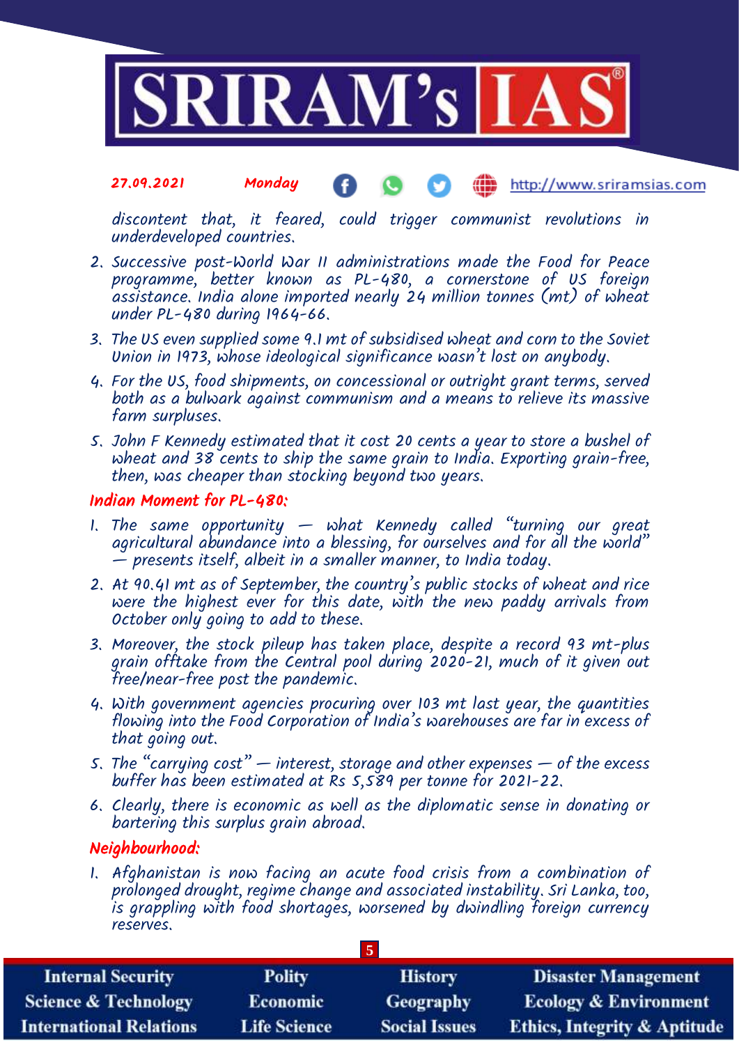

#### 27.09.2021 Monday Œ http://www.sriramsias.com

discontent that, it feared, could trigger communist revolutions in underdeveloped countries.

- 2. Successive post-World War II administrations made the Food for Peace programme, better known as PL-480, a cornerstone of US foreign  $a$ ssistance. India alone imported nearly 24 million tonnes (mt) of wheat under PL-480 during 1964-66.
- 3. The US even supplied some 9.1 mt of subsidised wheat and corn to the Soviet Union in 1973, whose ideological significance wasn't lost on anybody.
- 4. For the US, food shipments, on concessional or outright grant terms, served both as a bulwark against communism and a means to relieve its massive farm surpluses.
- 5. John F Kennedy estimated that it cost 20 cents a year to store a bushel of wheat and 38 cents to ship the same grain to India. Exporting grain-free, then, was cheaper than stocking beyond two years.

### Indian Moment for PL-480:

- 1. The same opportunity what Kennedy called "turning our great agricultural abundance into a blessing, for ourselves and for all the world"  $-$  presents itself, albeit in a smaller manner, to India today.
- 2. At 90.41 mt as of September, the country's public stocks of wheat and rice were the highest ever for this date, with the new paddy arrivals from October only going to add to these.
- 3. Moreover, the stock pileup has taken place, despite a record 93 mt-plus grain offtake from the Central pool during 2020-21, much of it given out free/near-free post the pandemic.
- 4. With government agencies procuring over 103 mt last year, the quantities flowing into the Food Corporation of India's warehouses are far in excess of that going out.
- 5. The "carrying cost"  $-$  interest, storage and other expenses  $-$  of the excess buffer has been estimated at Rs 5,589 per tonne for 2021-22.
- 6. Clearly, there is economic as well as the diplomatic sense in donating or bartering this surplus grain abroad.

### Neighbourhood:

1. Afghanistan is now facing an acute food crisis from a combination of prolonged drought, regime change and associated instability. Sri Lanka, too, is grappling with food shortages, worsened by dwindling foreign currency reserves.

**5**

| <b>Internal Security</b>        | <b>Polity</b>       | <b>History</b>       | <b>Disaster Management</b>              |  |
|---------------------------------|---------------------|----------------------|-----------------------------------------|--|
| <b>Science &amp; Technology</b> | <b>Economic</b>     | <b>Geography</b>     | <b>Ecology &amp; Environment</b>        |  |
| <b>International Relations</b>  | <b>Life Science</b> | <b>Social Issues</b> | <b>Ethics, Integrity &amp; Aptitude</b> |  |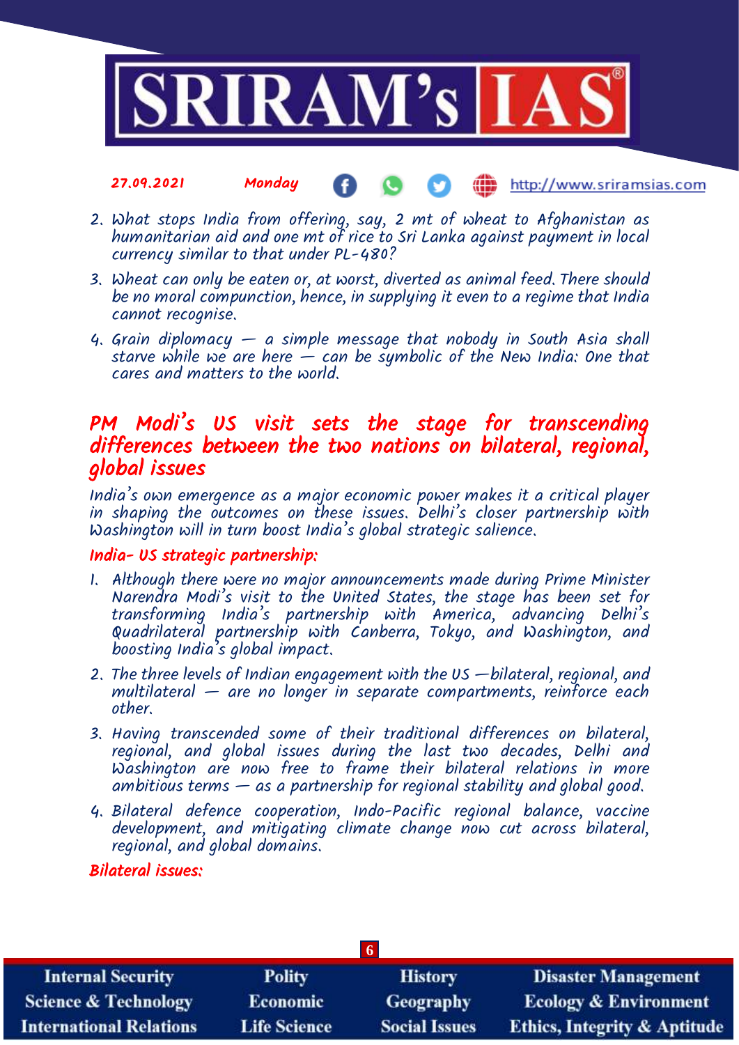

#### 27.09.2021 Monday **(iii)** http://www.sriramsias.com

- 2. What stops India from offering, say, 2 mt of wheat to Afghanistan as humanitarian aid and one mt of rice to Sri Lanka against payment in local currency similar to that under PL-480?
- 3. Wheat can only be eaten or, at worst, diverted as animal feed. There should be no moral compunction, hence, in supplying it even to a regime that India cannot recognise.
- 4. Grain diplomacy a simple message that nobody in South Asia shall starve while we are here — can be symbolic of the New India: One that cares and matters to the world.

## PM Modi's US visit sets the stage for transcending differences between the two nations on bilateral, regional, global issues

India's own emergence as a major economic power makes it a critical player in shaping the outcomes on these issues. Delhi's closer partnership with Washington will in turn boost India's global strategic salience.

### India- US strategic partnership:

- 1. Although there were no major announcements made during Prime Minister Narendra Modi's visit to the United States, the stage has been set for transforming India's partnership with America, advancing Delhi's Quadrilateral partnership with Canberra, Tokyo, and Washington, and boosting India's global impact.
- 2. The three levels of Indian engagement with the US —bilateral, regional, and  $multilateral -$  are no longer in separate compartments, reinforce each other.
- 3. Having transcended some of their traditional differences on bilateral, regional, and global issues during the last two decades, Delhi and Washington are now free to frame their bilateral relations in more ambitious terms  $-$  as a partnership for regional stability and global good.
- 4. Bilateral defence cooperation, Indo-Pacific regional balance, vaccine development, and mitigating climate change now cut across bilateral, regional, and global domains.

### Bilateral issues:

| <b>Internal Security</b>        | <b>Polity</b>       | <b>History</b>       | <b>Disaster Management</b>              |  |
|---------------------------------|---------------------|----------------------|-----------------------------------------|--|
| <b>Science &amp; Technology</b> | <b>Economic</b>     | Geography            | <b>Ecology &amp; Environment</b>        |  |
| <b>International Relations</b>  | <b>Life Science</b> | <b>Social Issues</b> | <b>Ethics, Integrity &amp; Aptitude</b> |  |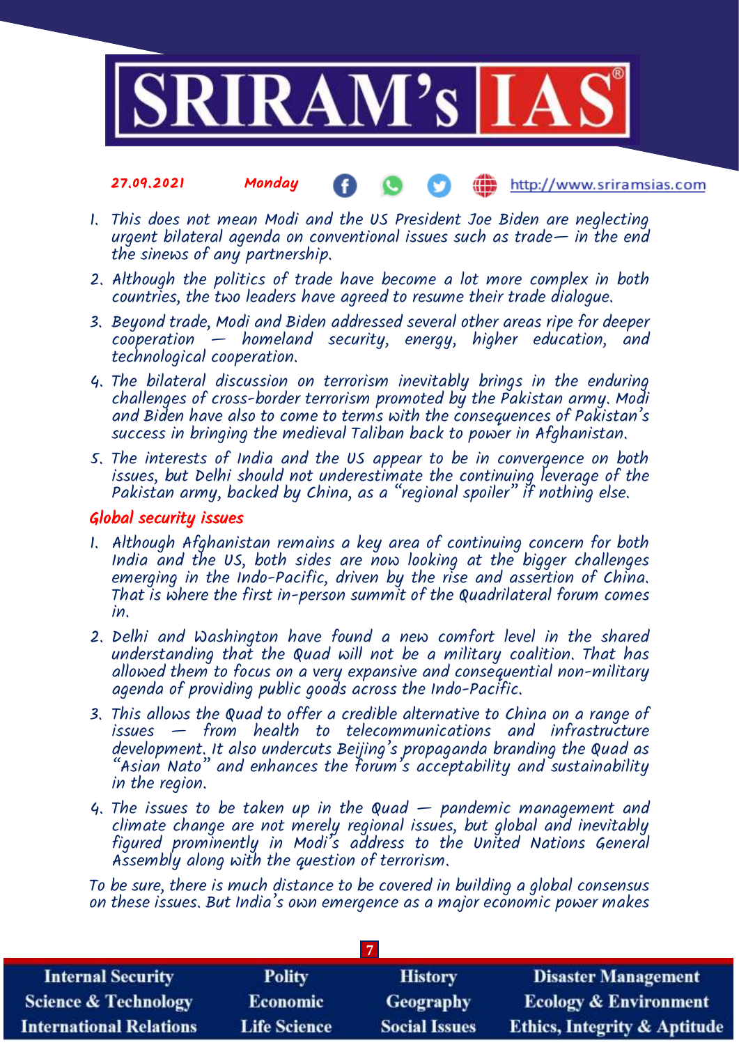

#### 27.09.2021 Monday http://www.sriramsias.com

- 1. This does not mean Modi and the US President Joe Biden are neglecting urgent bilateral agenda on conventional issues such as trade— in the end the sinews of any partnership.
- 2. Although the politics of trade have become a lot more complex in both countries, the two leaders have agreed to resume their trade dialogue.
- 3. Beyond trade, Modi and Biden addressed several other areas ripe for deeper cooperation — homeland security, energy, higher education, and technological cooperation.
- 4. The bilateral discussion on terrorism inevitably brings in the enduring challenges of cross-border terrorism promoted by the Pakistan army. Modi and Biden have also to come to terms with the consequences of Pakistan's success in bringing the medieval Taliban back to power in Afghanistan.
- 5. The interests of India and the US appear to be in convergence on both issues, but Delhi should not underestimate the continuing leverage of the Pakistan army, backed by China, as a "regional spoiler" if nothing else.

### Global security issues

- 1. Although Afghanistan remains a key area of continuing concern for both India and the US, both sides are now looking at the bigger challenges emerging in the Indo-Pacific, driven by the rise and assertion of China. That is where the first in-person summit of the Quadrilateral forum comes in.
- 2. Delhi and Washington have found a new comfort level in the shared understanding that the Quad will not be a military coalition. That has allowed them to focus on a very expansive and consequential non-military agenda of providing public goods across the Indo-Pacific.
- 3. This allows the Quad to offer a credible alternative to China on a range of issues — from health to telecommunications and infrastructure development. It also undercuts Beijing's propaganda branding the Quad as  $A$ sian Nato" and enhances the  $\tilde{f}$ orum's acceptability and sustainability in the region.
- 4. The issues to be taken up in the Quad pandemic management and climate change are not merely regional issues, but global and inevitably figured prominently in Modi's address to the United Nations General Assembly along with the question of terrorism.

To be sure, there is much distance to be covered in building a global consensus on these issues. But India's own emergence as a major economic power makes

| <b>Internal Security</b>        | <b>Polity</b>       | <b>History</b>       | <b>Disaster Management</b>              |  |
|---------------------------------|---------------------|----------------------|-----------------------------------------|--|
| <b>Science &amp; Technology</b> | <b>Economic</b>     | <b>Geography</b>     | <b>Ecology &amp; Environment</b>        |  |
| <b>International Relations</b>  | <b>Life Science</b> | <b>Social Issues</b> | <b>Ethics, Integrity &amp; Aptitude</b> |  |